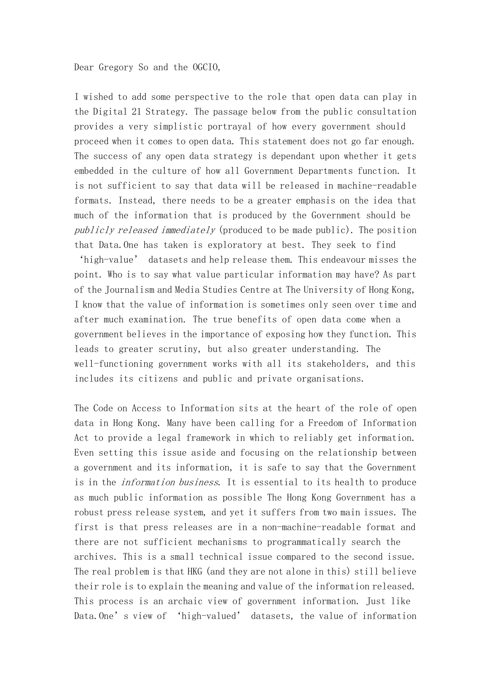Dear Gregory So and the OGCIO,

I wished to add some perspective to the role that open data can play in the Digital 21 Strategy. The passage below from the public consultation provides a very simplistic portrayal of how every government should proceed when it comes to open data. This statement does not go far enough. The success of any open data strategy is dependant upon whether it gets embedded in the culture of how all Government Departments function. It is not sufficient to say that data will be released in machine-readable formats. Instead, there needs to be a greater emphasis on the idea that much of the information that is produced by the Government should be publicly released immediately (produced to be made public). The position that Data.One has taken is exploratory at best. They seek to find

'high-value' datasets and help release them. This endeavour misses the point. Who is to say what value particular information may have? As part of the Journalism and Media Studies Centre at The University of Hong Kong, I know that the value of information is sometimes only seen over time and after much examination. The true benefits of open data come when a government believes in the importance of exposing how they function. This leads to greater scrutiny, but also greater understanding. The well-functioning government works with all its stakeholders, and this includes its citizens and public and private organisations.

The Code on Access to Information sits at the heart of the role of open data in Hong Kong. Many have been calling for a Freedom of Information Act to provide a legal framework in which to reliably get information. Even setting this issue aside and focusing on the relationship between a government and its information, it is safe to say that the Government is in the information business. It is essential to its health to produce as much public information as possible The Hong Kong Government has a robust press release system, and yet it suffers from two main issues. The first is that press releases are in a non-machine-readable format and there are not sufficient mechanisms to programmatically search the archives. This is a small technical issue compared to the second issue. The real problem is that HKG (and they are not alone in this) still believe their role is to explain the meaning and value of the information released. This process is an archaic view of government information. Just like Data.One's view of 'high-valued' datasets, the value of information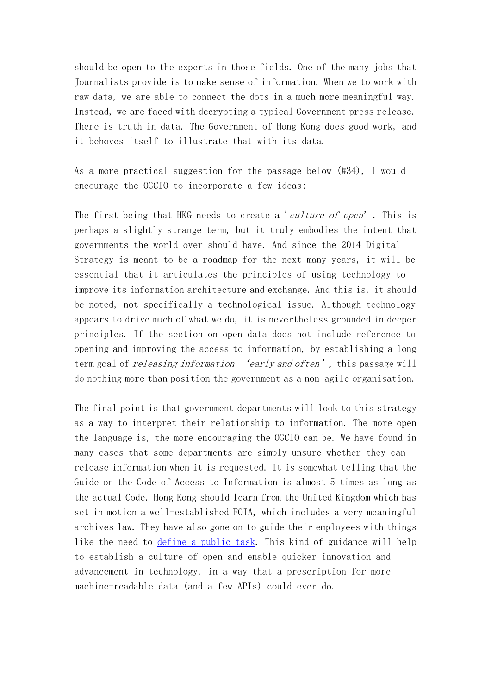should be open to the experts in those fields. One of the many jobs that Journalists provide is to make sense of information. When we to work with raw data, we are able to connect the dots in a much more meaningful way. Instead, we are faced with decrypting a typical Government press release. There is truth in data. The Government of Hong Kong does good work, and it behoves itself to illustrate that with its data.

As a more practical suggestion for the passage below (#34), I would encourage the OGCIO to incorporate a few ideas:

The first being that HKG needs to create a 'culture of open'. This is perhaps a slightly strange term, but it truly embodies the intent that governments the world over should have. And since the 2014 Digital Strategy is meant to be a roadmap for the next many years, it will be essential that it articulates the principles of using technology to improve its information architecture and exchange. And this is, it should be noted, not specifically a technological issue. Although technology appears to drive much of what we do, it is nevertheless grounded in deeper principles. If the section on open data does not include reference to opening and improving the access to information, by establishing a long term goal of *releasing information* 'early and often', this passage will do nothing more than position the government as a non-agile organisation.

The final point is that government departments will look to this strategy as a way to interpret their relationship to information. The more open the language is, the more encouraging the OGCIO can be. We have found in many cases that some departments are simply unsure whether they can release information when it is requested. It is somewhat telling that the Guide on the Code of Access to Information is almost 5 times as long as the actual Code. Hong Kong should learn from the United Kingdom which has set in motion a well-established FOIA, which includes a very meaningful archives law. They have also gone on to guide their employees with things like the need to [define a public task.](http://www.nationalarchives.gov.uk/documents/information-management/guide-to-drawing-up-a-statement-of-public-task.pdf) This kind of guidance will help to establish a culture of open and enable quicker innovation and advancement in technology, in a way that a prescription for more machine-readable data (and a few APIs) could ever do.